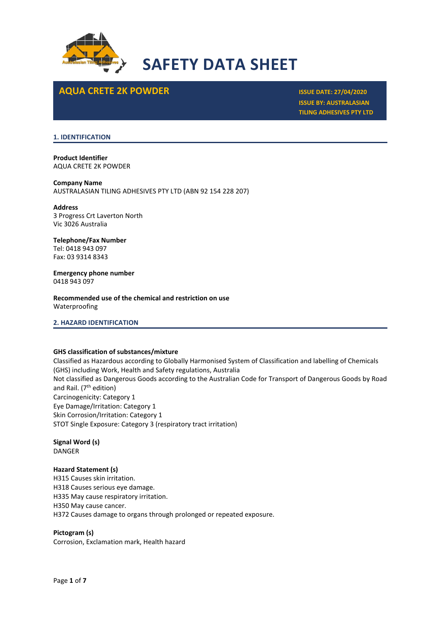

## **AQUA CRETE 2K POWDER ISSUE DATE: 27/04/2020**

**ISSUE BY: AUSTRALASIAN TILING ADHESIVES PTY LTD**

## **1. IDENTIFICATION**

**Product Identifier** AQUA CRETE 2K POWDER

## **Company Name**

AUSTRALASIAN TILING ADHESIVES PTY LTD (ABN 92 154 228 207)

**Address** 3 Progress Crt Laverton North Vic 3026 Australia

## **Telephone/Fax Number** Tel: 0418 943 097 Fax: 03 9314 8343

**Emergency phone number** 0418 943 097

**Recommended use of the chemical and restriction on use** Waterproofing

**2. HAZARD IDENTIFICATION**

## **GHS classification of substances/mixture**

Classified as Hazardous according to Globally Harmonised System of Classification and labelling of Chemicals (GHS) including Work, Health and Safety regulations, Australia Not classified as Dangerous Goods according to the Australian Code for Transport of Dangerous Goods by Road and Rail. (7<sup>th</sup> edition) Carcinogenicity: Category 1 Eye Damage/Irritation: Category 1 Skin Corrosion/Irritation: Category 1 STOT Single Exposure: Category 3 (respiratory tract irritation)

**Signal Word (s)** DANGER

## **Hazard Statement (s)**

H315 Causes skin irritation. H318 Causes serious eye damage. H335 May cause respiratory irritation. H350 May cause cancer. H372 Causes damage to organs through prolonged or repeated exposure.

**Pictogram (s)**

Corrosion, Exclamation mark, Health hazard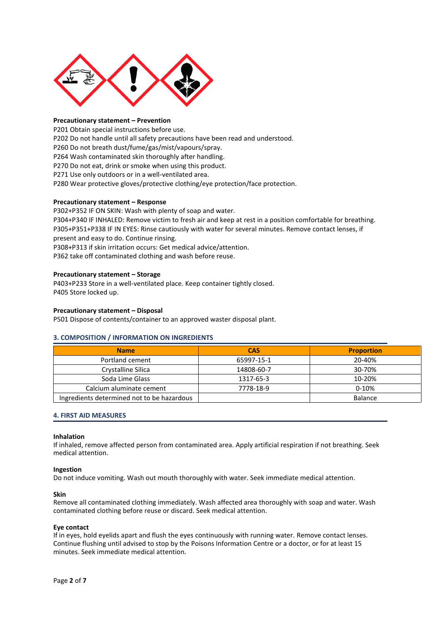

## **Precautionary statement – Prevention**

P201 Obtain special instructions before use. P202 Do not handle until all safety precautions have been read and understood. P260 Do not breath dust/fume/gas/mist/vapours/spray. P264 Wash contaminated skin thoroughly after handling. P270 Do not eat, drink or smoke when using this product. P271 Use only outdoors or in a well-ventilated area. P280 Wear protective gloves/protective clothing/eye protection/face protection.

## **Precautionary statement – Response**

P302+P352 IF ON SKIN: Wash with plenty of soap and water. P304+P340 IF INHALED: Remove victim to fresh air and keep at rest in a position comfortable for breathing. P305+P351+P338 IF IN EYES: Rinse cautiously with water for several minutes. Remove contact lenses, if present and easy to do. Continue rinsing. P308+P313 if skin irritation occurs: Get medical advice/attention.

P362 take off contaminated clothing and wash before reuse.

## **Precautionary statement – Storage**

P403+P233 Store in a well-ventilated place. Keep container tightly closed. P405 Store locked up.

### **Precautionary statement – Disposal**

P501 Dispose of contents/container to an approved waster disposal plant.

## **3. COMPOSITION / INFORMATION ON INGREDIENTS**

| <b>Name</b>                                | <b>CAS</b> | <b>Proportion</b> |
|--------------------------------------------|------------|-------------------|
| Portland cement                            | 65997-15-1 | 20-40%            |
| Crystalline Silica                         | 14808-60-7 | 30-70%            |
| Soda Lime Glass                            | 1317-65-3  | 10-20%            |
| Calcium aluminate cement                   | 7778-18-9  | $0-10%$           |
| Ingredients determined not to be hazardous |            | <b>Balance</b>    |

#### **4. FIRST AID MEASURES**

#### **Inhalation**

If inhaled, remove affected person from contaminated area. Apply artificial respiration if not breathing. Seek medical attention.

## **Ingestion**

Do not induce vomiting. Wash out mouth thoroughly with water. Seek immediate medical attention.

#### **Skin**

Remove all contaminated clothing immediately. Wash affected area thoroughly with soap and water. Wash contaminated clothing before reuse or discard. Seek medical attention.

#### **Eye contact**

If in eyes, hold eyelids apart and flush the eyes continuously with running water. Remove contact lenses. Continue flushing until advised to stop by the Poisons Information Centre or a doctor, or for at least 15 minutes. Seek immediate medical attention.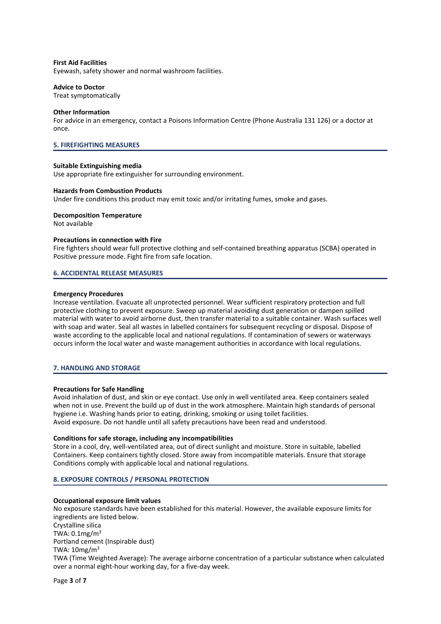## **First Aid Facilities**

Eyewash, safety shower and normal washroom facilities.

## **Advice to Doctor**

Treat symptomatically

## **Other Information**

For advice in an emergency, contact a Poisons Information Centre (Phone Australia 131 126) or a doctor at once.

## **5. FIREFIGHTING MEASURES**

## **Suitable Extinguishing media**

Use appropriate fire extinguisher for surrounding environment.

## **Hazards from Combustion Products**

Under fire conditions this product may emit toxic and/or irritating fumes, smoke and gases.

## **Decomposition Temperature**

Not available

## **Precautions in connection with Fire**

Fire fighters should wear full protective clothing and self-contained breathing apparatus (SCBA) operated in Positive pressure mode. Fight fire from safe location.

## **6. ACCIDENTAL RELEASE MEASURES**

## **Emergency Procedures**

Increase ventilation. Evacuate all unprotected personnel. Wear sufficient respiratory protection and full protective clothing to prevent exposure. Sweep up material avoiding dust generation or dampen spilled material with water to avoid airborne dust, then transfer material to a suitable container. Wash surfaces well with soap and water. Seal all wastes in labelled containers for subsequent recycling or disposal. Dispose of waste according to the applicable local and national regulations. If contamination of sewers or waterways occurs inform the local water and waste management authorities in accordance with local regulations.

## **7. HANDLING AND STORAGE**

## **Precautions for Safe Handling**

Avoid inhalation of dust, and skin or eye contact. Use only in well ventilated area. Keep containers sealed when not in use. Prevent the build up of dust in the work atmosphere. Maintain high standards of personal hygiene i.e. Washing hands prior to eating, drinking, smoking or using toilet facilities. Avoid exposure. Do not handle until all safety precautions have been read and understood.

## **Conditions for safe storage, including any incompatibilities**

Store in a cool, dry, well-ventilated area, out of direct sunlight and moisture. Store in suitable, labelled Containers. Keep containers tightly closed. Store away from incompatible materials. Ensure that storage Conditions comply with applicable local and national regulations.

## **8. EXPOSURE CONTROLS / PERSONAL PROTECTION**

## **Occupational exposure limit values**

No exposure standards have been established for this material. However, the available exposure limits for ingredients are listed below. Crystalline silica TWA:  $0.1$ mg/m $3$ Portland cement (Inspirable dust) TWA: 10mg/m<sup>3</sup> TWA (Time Weighted Average): The average airborne concentration of a particular substance when calculated over a normal eight-hour working day, for a five-day week.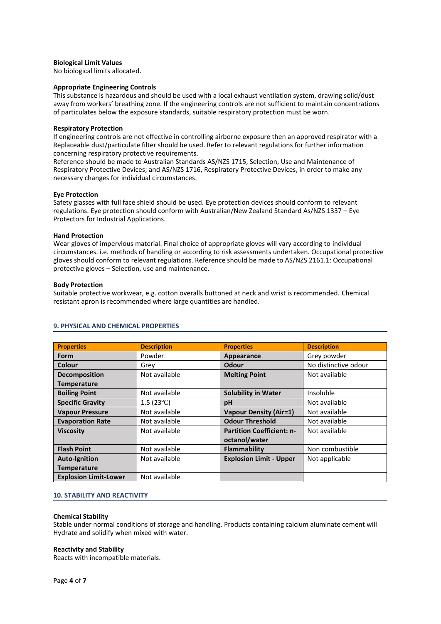## **Biological Limit Values**

No biological limits allocated.

## **Appropriate Engineering Controls**

This substance is hazardous and should be used with a local exhaust ventilation system, drawing solid/dust away from workers' breathing zone. If the engineering controls are not sufficient to maintain concentrations of particulates below the exposure standards, suitable respiratory protection must be worn.

## **Respiratory Protection**

If engineering controls are not effective in controlling airborne exposure then an approved respirator with a Replaceable dust/particulate filter should be used. Refer to relevant regulations for further information concerning respiratory protective requirements.

Reference should be made to Australian Standards AS/NZS 1715, Selection, Use and Maintenance of Respiratory Protective Devices; and AS/NZS 1716, Respiratory Protective Devices, in order to make any necessary changes for individual circumstances.

## **Eye Protection**

Safety glasses with full face shield should be used. Eye protection devices should conform to relevant regulations. Eye protection should conform with Australian/New Zealand Standard As/NZS 1337 – Eye Protectors for Industrial Applications.

## **Hand Protection**

Wear gloves of impervious material. Final choice of appropriate gloves will vary according to individual circumstances. i.e. methods of handling or according to risk assessments undertaken. Occupational protective gloves should conform to relevant regulations. Reference should be made to AS/NZS 2161.1: Occupational protective gloves – Selection, use and maintenance.

## **Body Protection**

Suitable protective workwear, e.g. cotton overalls buttoned at neck and wrist is recommended. Chemical resistant apron is recommended where large quantities are handled.

| <b>Properties</b>            | <b>Description</b> | <b>Properties</b>                | <b>Description</b>   |
|------------------------------|--------------------|----------------------------------|----------------------|
| <b>Form</b>                  | Powder             | Appearance                       | Grey powder          |
| Colour                       | Grey               | Odour                            | No distinctive odour |
| <b>Decomposition</b>         | Not available      | <b>Melting Point</b>             | Not available        |
| <b>Temperature</b>           |                    |                                  |                      |
| <b>Boiling Point</b>         | Not available      | <b>Solubility in Water</b>       | Insoluble            |
| <b>Specific Gravity</b>      | $1.5(23^{\circ}C)$ | pH                               | Not available        |
| <b>Vapour Pressure</b>       | Not available      | <b>Vapour Density (Air=1)</b>    | Not available        |
| <b>Evaporation Rate</b>      | Not available      | <b>Odour Threshold</b>           | Not available        |
| <b>Viscosity</b>             | Not available      | <b>Partition Coefficient: n-</b> | Not available        |
|                              |                    | octanol/water                    |                      |
| <b>Flash Point</b>           | Not available      | Flammability                     | Non combustible      |
| <b>Auto-Ignition</b>         | Not available      | <b>Explosion Limit - Upper</b>   | Not applicable       |
| <b>Temperature</b>           |                    |                                  |                      |
| <b>Explosion Limit-Lower</b> | Not available      |                                  |                      |

## **9. PHYSICAL AND CHEMICAL PROPERTIES**

## **10. STABILITY AND REACTIVITY**

## **Chemical Stability**

Stable under normal conditions of storage and handling. Products containing calcium aluminate cement will Hydrate and solidify when mixed with water.

## **Reactivity and Stability**

Reacts with incompatible materials.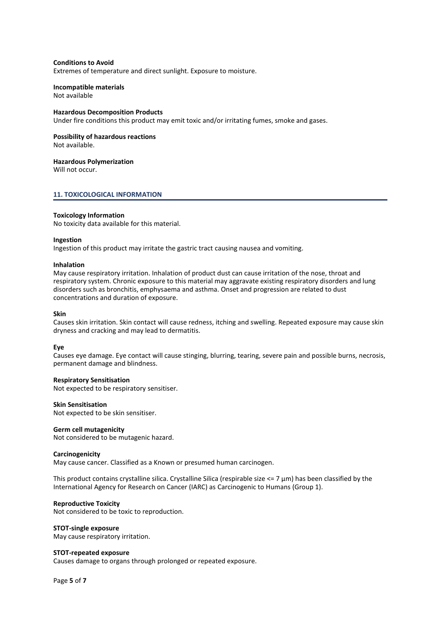## **Conditions to Avoid**

Extremes of temperature and direct sunlight. Exposure to moisture.

## **Incompatible materials**

Not available

## **Hazardous Decomposition Products**

Under fire conditions this product may emit toxic and/or irritating fumes, smoke and gases.

#### **Possibility of hazardous reactions**

Not available.

## **Hazardous Polymerization**

Will not occur.

## **11. TOXICOLOGICAL INFORMATION**

## **Toxicology Information**

No toxicity data available for this material.

## **Ingestion**

Ingestion of this product may irritate the gastric tract causing nausea and vomiting.

## **Inhalation**

May cause respiratory irritation. Inhalation of product dust can cause irritation of the nose, throat and respiratory system. Chronic exposure to this material may aggravate existing respiratory disorders and lung disorders such as bronchitis, emphysaema and asthma. Onset and progression are related to dust concentrations and duration of exposure.

## **Skin**

Causes skin irritation. Skin contact will cause redness, itching and swelling. Repeated exposure may cause skin dryness and cracking and may lead to dermatitis.

#### **Eye**

Causes eye damage. Eye contact will cause stinging, blurring, tearing, severe pain and possible burns, necrosis, permanent damage and blindness.

### **Respiratory Sensitisation**

Not expected to be respiratory sensitiser.

#### **Skin Sensitisation**

Not expected to be skin sensitiser.

## **Germ cell mutagenicity**

Not considered to be mutagenic hazard.

#### **Carcinogenicity**

May cause cancer. Classified as a Known or presumed human carcinogen.

This product contains crystalline silica. Crystalline Silica (respirable size  $\lt$ = 7  $\mu$ m) has been classified by the International Agency for Research on Cancer (IARC) as Carcinogenic to Humans (Group 1).

## **Reproductive Toxicity**

Not considered to be toxic to reproduction.

#### **STOT-single exposure**

May cause respiratory irritation.

#### **STOT-repeated exposure**

Causes damage to organs through prolonged or repeated exposure.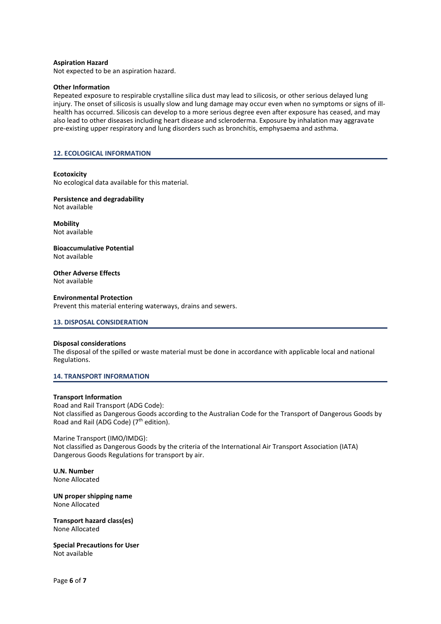## **Aspiration Hazard**

Not expected to be an aspiration hazard.

## **Other Information**

Repeated exposure to respirable crystalline silica dust may lead to silicosis, or other serious delayed lung injury. The onset of silicosis is usually slow and lung damage may occur even when no symptoms or signs of illhealth has occurred. Silicosis can develop to a more serious degree even after exposure has ceased, and may also lead to other diseases including heart disease and scleroderma. Exposure by inhalation may aggravate pre-existing upper respiratory and lung disorders such as bronchitis, emphysaema and asthma.

## **12. ECOLOGICAL INFORMATION**

## **Ecotoxicity**

No ecological data available for this material.

**Persistence and degradability** Not available

**Mobility** Not available

**Bioaccumulative Potential** Not available

#### **Other Adverse Effects** Not available

## **Environmental Protection**

Prevent this material entering waterways, drains and sewers.

## **13. DISPOSAL CONSIDERATION**

#### **Disposal considerations**

The disposal of the spilled or waste material must be done in accordance with applicable local and national Regulations.

## **14. TRANSPORT INFORMATION**

#### **Transport Information**

Road and Rail Transport (ADG Code): Not classified as Dangerous Goods according to the Australian Code for the Transport of Dangerous Goods by Road and Rail (ADG Code) (7<sup>th</sup> edition).

## Marine Transport (IMO/IMDG):

Not classified as Dangerous Goods by the criteria of the International Air Transport Association (IATA) Dangerous Goods Regulations for transport by air.

**U.N. Number** None Allocated

**UN proper shipping name** None Allocated

**Transport hazard class(es)** None Allocated

**Special Precautions for User** Not available